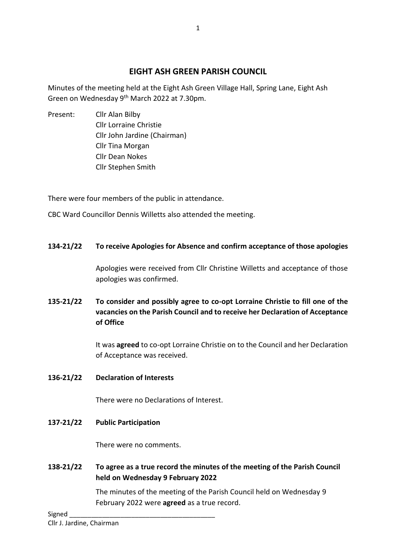# **EIGHT ASH GREEN PARISH COUNCIL**

Minutes of the meeting held at the Eight Ash Green Village Hall, Spring Lane, Eight Ash Green on Wednesday 9<sup>th</sup> March 2022 at 7.30pm.

Present: Cllr Alan Bilby Cllr Lorraine Christie Cllr John Jardine (Chairman) Cllr Tina Morgan Cllr Dean Nokes Cllr Stephen Smith

There were four members of the public in attendance.

CBC Ward Councillor Dennis Willetts also attended the meeting.

#### **134-21/22 To receive Apologies for Absence and confirm acceptance of those apologies**

Apologies were received from Cllr Christine Willetts and acceptance of those apologies was confirmed.

**135-21/22 To consider and possibly agree to co-opt Lorraine Christie to fill one of the vacancies on the Parish Council and to receive her Declaration of Acceptance of Office**

> It was **agreed** to co-opt Lorraine Christie on to the Council and her Declaration of Acceptance was received.

**136-21/22 Declaration of Interests**

There were no Declarations of Interest.

**137-21/22 Public Participation**

There were no comments.

**138-21/22 To agree as a true record the minutes of the meeting of the Parish Council held on Wednesday 9 February 2022**

> The minutes of the meeting of the Parish Council held on Wednesday 9 February 2022 were **agreed** as a true record.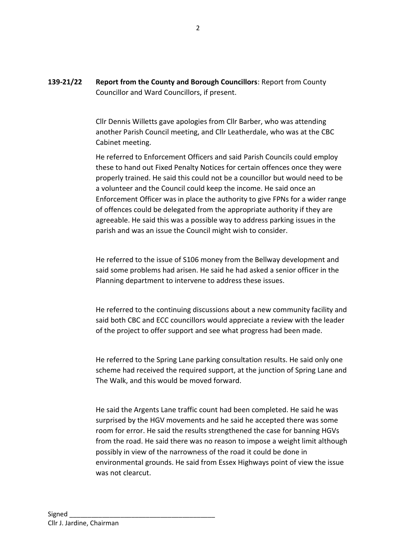**139-21/22 Report from the County and Borough Councillors**: Report from County Councillor and Ward Councillors, if present.

> Cllr Dennis Willetts gave apologies from Cllr Barber, who was attending another Parish Council meeting, and Cllr Leatherdale, who was at the CBC Cabinet meeting.

He referred to Enforcement Officers and said Parish Councils could employ these to hand out Fixed Penalty Notices for certain offences once they were properly trained. He said this could not be a councillor but would need to be a volunteer and the Council could keep the income. He said once an Enforcement Officer was in place the authority to give FPNs for a wider range of offences could be delegated from the appropriate authority if they are agreeable. He said this was a possible way to address parking issues in the parish and was an issue the Council might wish to consider.

He referred to the issue of S106 money from the Bellway development and said some problems had arisen. He said he had asked a senior officer in the Planning department to intervene to address these issues.

He referred to the continuing discussions about a new community facility and said both CBC and ECC councillors would appreciate a review with the leader of the project to offer support and see what progress had been made.

He referred to the Spring Lane parking consultation results. He said only one scheme had received the required support, at the junction of Spring Lane and The Walk, and this would be moved forward.

He said the Argents Lane traffic count had been completed. He said he was surprised by the HGV movements and he said he accepted there was some room for error. He said the results strengthened the case for banning HGVs from the road. He said there was no reason to impose a weight limit although possibly in view of the narrowness of the road it could be done in environmental grounds. He said from Essex Highways point of view the issue was not clearcut.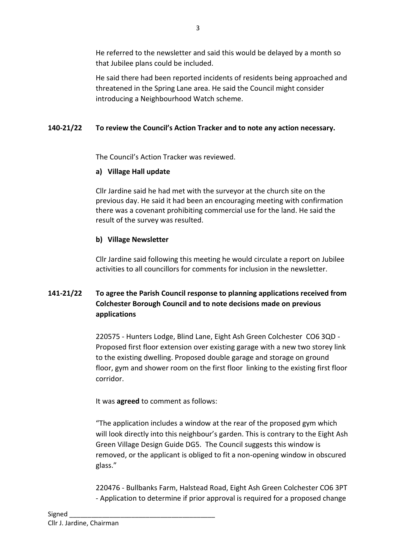He referred to the newsletter and said this would be delayed by a month so that Jubilee plans could be included.

He said there had been reported incidents of residents being approached and threatened in the Spring Lane area. He said the Council might consider introducing a Neighbourhood Watch scheme.

# **140-21/22 To review the Council's Action Tracker and to note any action necessary.**

The Council's Action Tracker was reviewed.

## **a) Village Hall update**

Cllr Jardine said he had met with the surveyor at the church site on the previous day. He said it had been an encouraging meeting with confirmation there was a covenant prohibiting commercial use for the land. He said the result of the survey was resulted.

## **b) Village Newsletter**

Cllr Jardine said following this meeting he would circulate a report on Jubilee activities to all councillors for comments for inclusion in the newsletter.

# **141-21/22 To agree the Parish Council response to planning applications received from Colchester Borough Council and to note decisions made on previous applications**

220575 - Hunters Lodge, Blind Lane, Eight Ash Green Colchester CO6 3QD - Proposed first floor extension over existing garage with a new two storey link to the existing dwelling. Proposed double garage and storage on ground floor, gym and shower room on the first floor linking to the existing first floor corridor.

It was **agreed** to comment as follows:

"The application includes a window at the rear of the proposed gym which will look directly into this neighbour's garden. This is contrary to the Eight Ash Green Village Design Guide DG5. The Council suggests this window is removed, or the applicant is obliged to fit a non-opening window in obscured glass."

220476 - Bullbanks Farm, Halstead Road, Eight Ash Green Colchester CO6 3PT - Application to determine if prior approval is required for a proposed change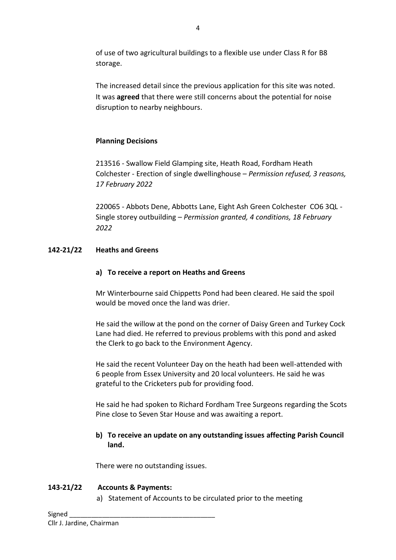of use of two agricultural buildings to a flexible use under Class R for B8 storage.

The increased detail since the previous application for this site was noted. It was **agreed** that there were still concerns about the potential for noise disruption to nearby neighbours.

### **Planning Decisions**

213516 - Swallow Field Glamping site, Heath Road, Fordham Heath Colchester - Erection of single dwellinghouse – *Permission refused, 3 reasons, 17 February 2022*

220065 - Abbots Dene, Abbotts Lane, Eight Ash Green Colchester CO6 3QL - Single storey outbuilding – *Permission granted, 4 conditions, 18 February 2022*

## **142-21/22 Heaths and Greens**

### **a) To receive a report on Heaths and Greens**

Mr Winterbourne said Chippetts Pond had been cleared. He said the spoil would be moved once the land was drier.

He said the willow at the pond on the corner of Daisy Green and Turkey Cock Lane had died. He referred to previous problems with this pond and asked the Clerk to go back to the Environment Agency.

He said the recent Volunteer Day on the heath had been well-attended with 6 people from Essex University and 20 local volunteers. He said he was grateful to the Cricketers pub for providing food.

He said he had spoken to Richard Fordham Tree Surgeons regarding the Scots Pine close to Seven Star House and was awaiting a report.

#### **b) To receive an update on any outstanding issues affecting Parish Council land.**

There were no outstanding issues.

### **143-21/22 Accounts & Payments:**

a) Statement of Accounts to be circulated prior to the meeting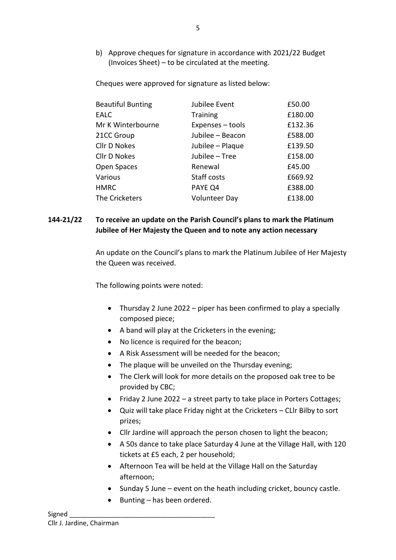b) Approve cheques for signature in accordance with 2021/22 Budget (Invoices Sheet) – to be circulated at the meeting.

Cheques were approved for signature as listed below:

| <b>Beautiful Bunting</b> | Jubilee Event        | £50.00  |
|--------------------------|----------------------|---------|
| <b>EALC</b>              | <b>Training</b>      | £180.00 |
| Mr K Winterbourne        | Expenses - tools     | £132.36 |
| 21CC Group               | Jubilee - Beacon     | £588.00 |
| <b>Cllr D Nokes</b>      | Jubilee - Plaque     | £139.50 |
| Cllr D Nokes             | Jubilee - Tree       | £158.00 |
| Open Spaces              | Renewal              | £45.00  |
| Various                  | Staff costs          | £669.92 |
| <b>HMRC</b>              | PAYE Q4              | £388.00 |
| The Cricketers           | <b>Volunteer Day</b> | £138.00 |

#### **144-21/22 To receive an update on the Parish Council's plans to mark the Platinum Jubilee of Her Majesty the Queen and to note any action necessary**

An update on the Council's plans to mark the Platinum Jubilee of Her Majesty the Queen was received.

The following points were noted:

- Thursday 2 June 2022 piper has been confirmed to play a specially composed piece;
- A band will play at the Cricketers in the evening;
- No licence is required for the beacon;
- A Risk Assessment will be needed for the beacon;
- The plaque will be unveiled on the Thursday evening;
- The Clerk will look for more details on the proposed oak tree to be provided by CBC;
- Friday 2 June 2022 a street party to take place in Porters Cottages;
- Quiz will take place Friday night at the Cricketers CLlr Bilby to sort prizes;
- Cllr Jardine will approach the person chosen to light the beacon;
- A 50s dance to take place Saturday 4 June at the Village Hall, with 120 tickets at £5 each, 2 per household;
- Afternoon Tea will be held at the Village Hall on the Saturday afternoon;
- Sunday 5 June event on the heath including cricket, bouncy castle.
- Bunting has been ordered.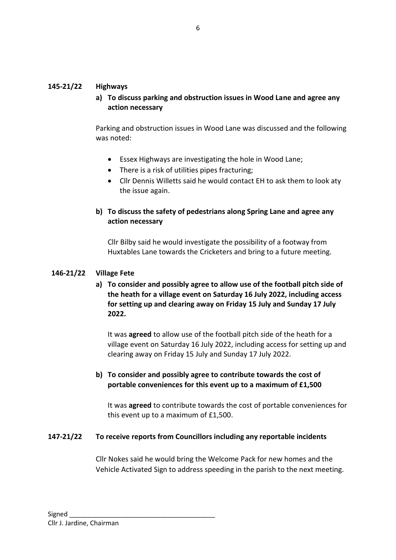#### **145-21/22 Highways**

**a) To discuss parking and obstruction issues in Wood Lane and agree any action necessary**

Parking and obstruction issues in Wood Lane was discussed and the following was noted:

- Essex Highways are investigating the hole in Wood Lane;
- There is a risk of utilities pipes fracturing;
- Cllr Dennis Willetts said he would contact EH to ask them to look aty the issue again.

### **b) To discuss the safety of pedestrians along Spring Lane and agree any action necessary**

Cllr Bilby said he would investigate the possibility of a footway from Huxtables Lane towards the Cricketers and bring to a future meeting.

#### **146-21/22 Village Fete**

**a) To consider and possibly agree to allow use of the football pitch side of the heath for a village event on Saturday 16 July 2022, including access for setting up and clearing away on Friday 15 July and Sunday 17 July 2022.**

It was **agreed** to allow use of the football pitch side of the heath for a village event on Saturday 16 July 2022, including access for setting up and clearing away on Friday 15 July and Sunday 17 July 2022.

#### **b) To consider and possibly agree to contribute towards the cost of portable conveniences for this event up to a maximum of £1,500**

It was **agreed** to contribute towards the cost of portable conveniences for this event up to a maximum of £1,500.

#### **147-21/22 To receive reports from Councillors including any reportable incidents**

Cllr Nokes said he would bring the Welcome Pack for new homes and the Vehicle Activated Sign to address speeding in the parish to the next meeting.

6